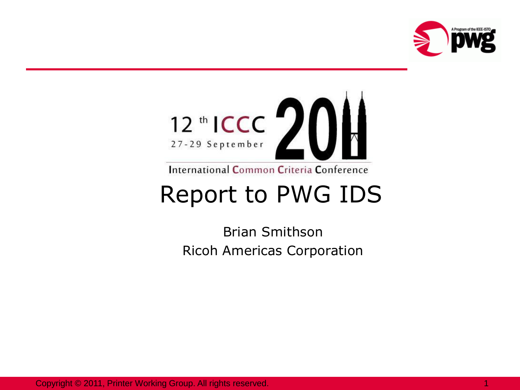



International Common Criteria Conference

#### Report to PWG IDS

Brian Smithson Ricoh Americas Corporation

Copyright © 2011, Printer Working Group. All rights reserved. 1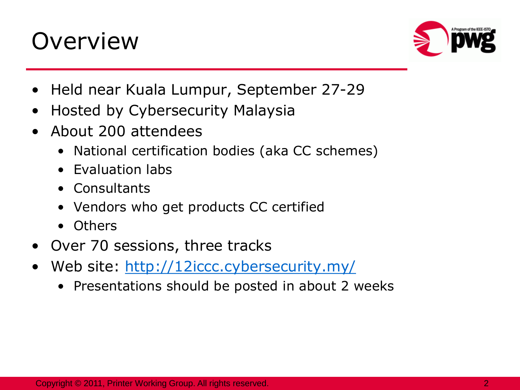# **Overview**



- Held near Kuala Lumpur, September 27-29
- Hosted by Cybersecurity Malaysia
- About 200 attendees
	- National certification bodies (aka CC schemes)
	- Evaluation labs
	- Consultants
	- Vendors who get products CC certified
	- Others
- Over 70 sessions, three tracks
- Web site:<http://12iccc.cybersecurity.my/>
	- Presentations should be posted in about 2 weeks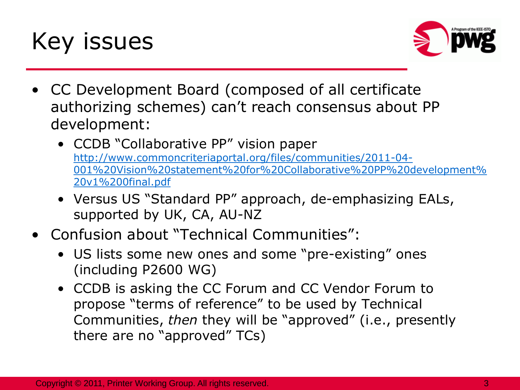



- CC Development Board (composed of all certificate authorizing schemes) can't reach consensus about PP development:
	- CCDB "Collaborative PP" vision paper [http://www.commoncriteriaportal.org/files/communities/2011-04-](http://www.commoncriteriaportal.org/files/communities/2011-04-001 Vision statement for Collaborative PP development v1 0final.pdf) [001%20Vision%20statement%20for%20Collaborative%20PP%20development%](http://www.commoncriteriaportal.org/files/communities/2011-04-001 Vision statement for Collaborative PP development v1 0final.pdf) [20v1%200final.pdf](http://www.commoncriteriaportal.org/files/communities/2011-04-001 Vision statement for Collaborative PP development v1 0final.pdf)
	- Versus US "Standard PP" approach, de-emphasizing EALs, supported by UK, CA, AU-NZ
- Confusion about "Technical Communities":
	- US lists some new ones and some "pre-existing" ones (including P2600 WG)
	- CCDB is asking the CC Forum and CC Vendor Forum to propose "terms of reference" to be used by Technical Communities, *then* they will be "approved" (i.e., presently there are no "approved" TCs)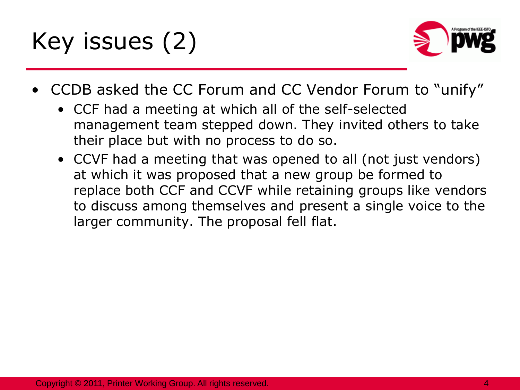Key issues (2)



- CCDB asked the CC Forum and CC Vendor Forum to "unify"
	- CCF had a meeting at which all of the self-selected management team stepped down. They invited others to take their place but with no process to do so.
	- CCVF had a meeting that was opened to all (not just vendors) at which it was proposed that a new group be formed to replace both CCF and CCVF while retaining groups like vendors to discuss among themselves and present a single voice to the larger community. The proposal fell flat.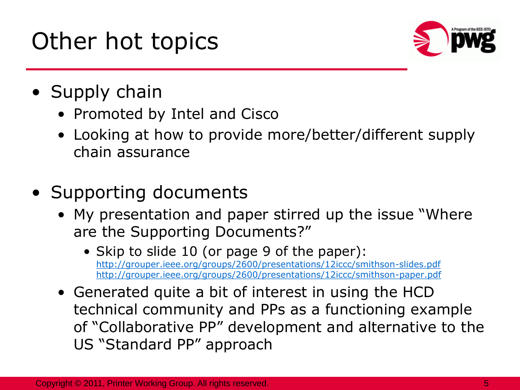# Other hot topics



- Supply chain
	- Promoted by Intel and Cisco
	- Looking at how to provide more/better/different supply chain assurance
- Supporting documents
	- My presentation and paper stirred up the issue "Where are the Supporting Documents?"
		- Skip to slide 10 (or page 9 of the paper): <http://grouper.ieee.org/groups/2600/presentations/12iccc/smithson-slides.pdf> <http://grouper.ieee.org/groups/2600/presentations/12iccc/smithson-paper.pdf>
	- Generated quite a bit of interest in using the HCD technical community and PPs as a functioning example of "Collaborative PP" development and alternative to the US "Standard PP" approach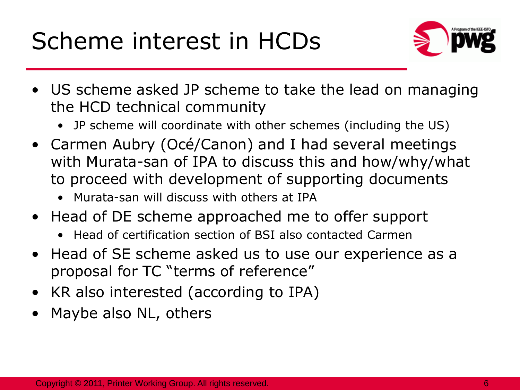# Scheme interest in HCDs



- US scheme asked JP scheme to take the lead on managing the HCD technical community
	- JP scheme will coordinate with other schemes (including the US)
- Carmen Aubry (Océ/Canon) and I had several meetings with Murata-san of IPA to discuss this and how/why/what to proceed with development of supporting documents
	- Murata-san will discuss with others at IPA
- Head of DE scheme approached me to offer support
	- Head of certification section of BSI also contacted Carmen
- Head of SE scheme asked us to use our experience as a proposal for TC "terms of reference"
- KR also interested (according to IPA)
- Maybe also NL, others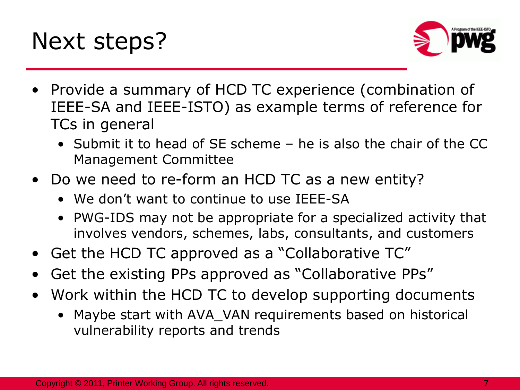



- Provide a summary of HCD TC experience (combination of IEEE-SA and IEEE-ISTO) as example terms of reference for TCs in general
	- Submit it to head of SE scheme he is also the chair of the CC Management Committee
- Do we need to re-form an HCD TC as a new entity?
	- We don't want to continue to use IFFF-SA
	- PWG-IDS may not be appropriate for a specialized activity that involves vendors, schemes, labs, consultants, and customers
- Get the HCD TC approved as a "Collaborative TC"
- Get the existing PPs approved as "Collaborative PPs"
- Work within the HCD TC to develop supporting documents
	- Maybe start with AVA\_VAN requirements based on historical vulnerability reports and trends